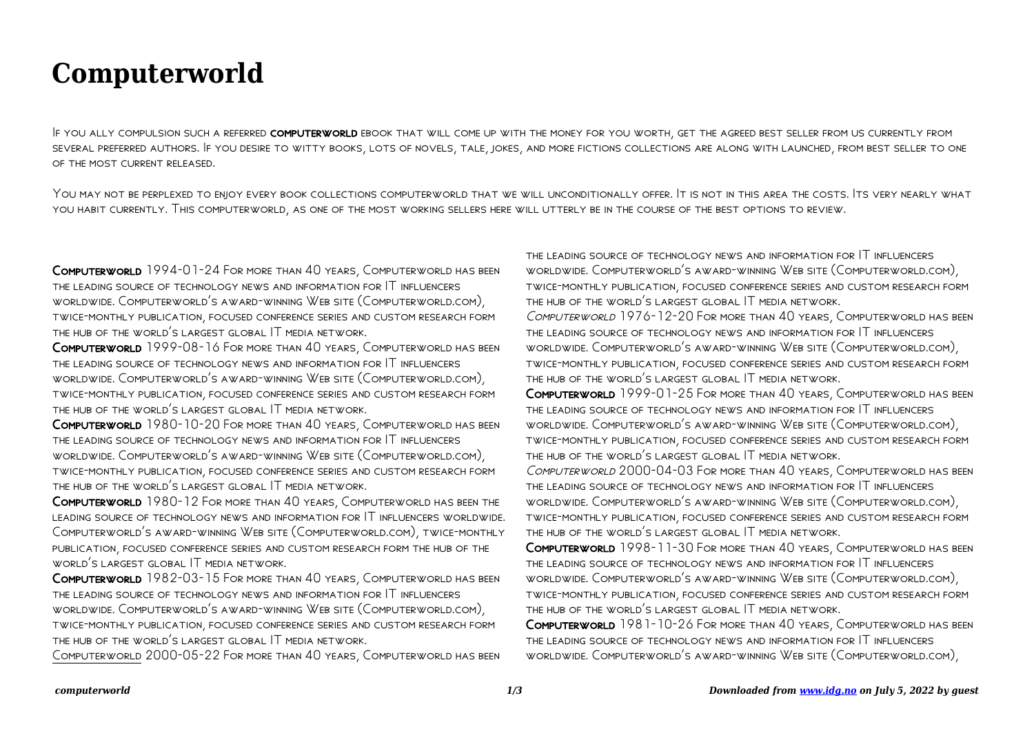## **Computerworld**

IF YOU ALLY COMPULSION SUCH A REFERRED COMPUTERWORLD EBOOK THAT WILL COME UP WITH THE MONEY FOR YOU WORTH, GET THE AGREED BEST SELLER FROM US CURRENTLY FROM several preferred authors. If you desire to witty books, lots of novels, tale, jokes, and more fictions collections are along with launched, from best seller to one OF THE MOST CURRENT RELEASED.

YOU MAY NOT BE PERPLEXED TO ENJOY EVERY BOOK COLLECTIONS COMPUTERWORLD THAT WE WILL UNCONDITIONALLY OFFER. IT IS NOT IN THIS AREA THE COSTS. ITS VERY NEARLY WHAT you habit currently. This computerworld, as one of the most working sellers here will utterly be in the course of the best options to review.

Computerworld 1994-01-24 For more than 40 years, Computerworld has been the leading source of technology news and information for IT influencers worldwide. Computerworld's award-winning Web site (Computerworld.com), twice-monthly publication, focused conference series and custom research form the hub of the world's largest global IT media network.

Computerworld 1999-08-16 For more than 40 years, Computerworld has been the leading source of technology news and information for IT influencers worldwide. Computerworld's award-winning Web site (Computerworld.com), twice-monthly publication, focused conference series and custom research form the hub of the world's largest global IT media network.

Computerworld 1980-10-20 For more than 40 years, Computerworld has been the leading source of technology news and information for IT influencers worldwide. Computerworld's award-winning Web site (Computerworld.com), twice-monthly publication, focused conference series and custom research form the hub of the world's largest global IT media network.

Computerworld 1980-12 For more than 40 years, Computerworld has been the leading source of technology news and information for IT influencers worldwide. Computerworld's award-winning Web site (Computerworld.com), twice-monthly publication, focused conference series and custom research form the hub of the world's largest global IT media network.

Computerworld 1982-03-15 For more than 40 years, Computerworld has been the leading source of technology news and information for IT influencers worldwide. Computerworld's award-winning Web site (Computerworld.com), twice-monthly publication, focused conference series and custom research form the hub of the world's largest global IT media network.

Computerworld 2000-05-22 For more than 40 years, Computerworld has been

the leading source of technology news and information for IT influencers worldwide. Computerworld's award-winning Web site (Computerworld.com), twice-monthly publication, focused conference series and custom research form the hub of the world's largest global IT media network. Computerworld 1976-12-20 For more than 40 years, Computerworld has been the leading source of technology news and information for IT influencers worldwide. Computerworld's award-winning Web site (Computerworld.com), twice-monthly publication, focused conference series and custom research form the hub of the world's largest global IT media network. Computerworld 1999-01-25 For more than 40 years, Computerworld has been the leading source of technology news and information for IT influencers worldwide. Computerworld's award-winning Web site (Computerworld.com), twice-monthly publication, focused conference series and custom research form the hub of the world's largest global IT media network. Computerworld 2000-04-03 For more than 40 years, Computerworld has been the leading source of technology news and information for IT influencers worldwide. Computerworld's award-winning Web site (Computerworld.com), twice-monthly publication, focused conference series and custom research form the hub of the world's largest global IT media network.

Computerworld 1998-11-30 For more than 40 years, Computerworld has been the leading source of technology news and information for IT influencers worldwide. Computerworld's award-winning Web site (Computerworld.com), twice-monthly publication, focused conference series and custom research form the hub of the world's largest global IT media network.

Computerworld 1981-10-26 For more than 40 years, Computerworld has been the leading source of technology news and information for IT influencers worldwide. Computerworld's award-winning Web site (Computerworld.com),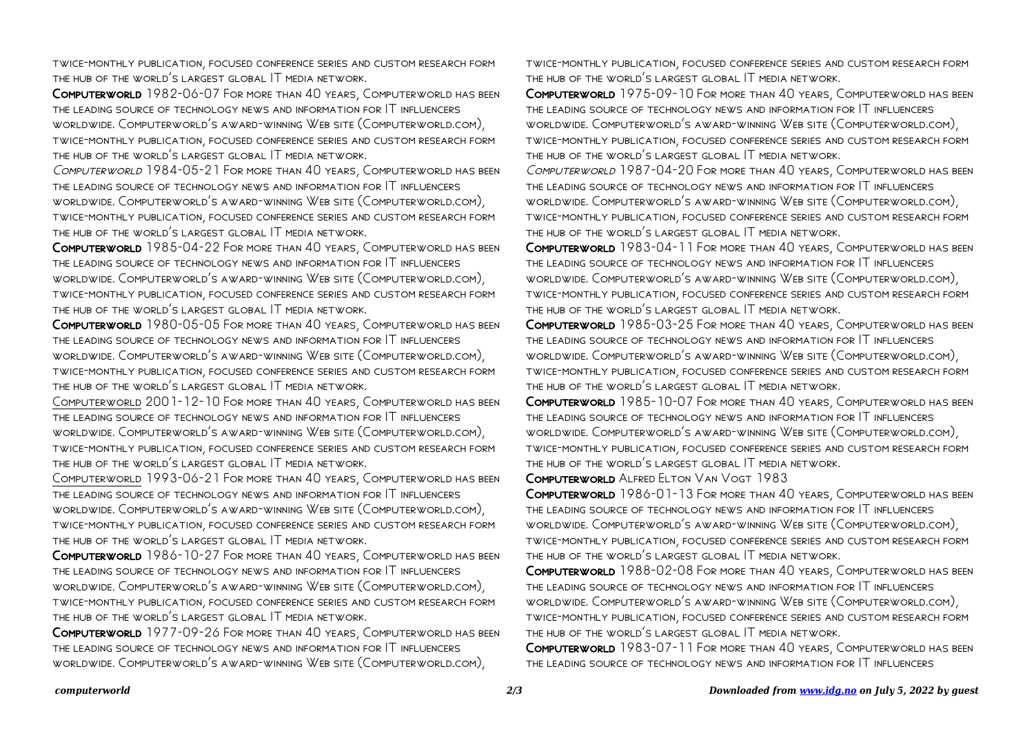twice-monthly publication, focused conference series and custom research form the hub of the world's largest global IT media network.

Computerworld 1982-06-07 For more than 40 years, Computerworld has been the leading source of technology news and information for IT influencers worldwide. Computerworld's award-winning Web site (Computerworld.com), twice-monthly publication, focused conference series and custom research form the hub of the world's largest global IT media network.

Computerworld 1984-05-21 For more than 40 years, Computerworld has been the leading source of technology news and information for IT influencers worldwide. Computerworld's award-winning Web site (Computerworld.com), twice-monthly publication, focused conference series and custom research form the hub of the world's largest global IT media network.

Computerworld 1985-04-22 For more than 40 years, Computerworld has been the leading source of technology news and information for IT influencers worldwide. Computerworld's award-winning Web site (Computerworld.com), twice-monthly publication, focused conference series and custom research form the hub of the world's largest global IT media network.

Computerworld 1980-05-05 For more than 40 years, Computerworld has been the leading source of technology news and information for IT influencers worldwide. Computerworld's award-winning Web site (Computerworld.com), twice-monthly publication, focused conference series and custom research form the hub of the world's largest global IT media network.

Computerworld 2001-12-10 For more than 40 years, Computerworld has been the leading source of technology news and information for IT influencers worldwide. Computerworld's award-winning Web site (Computerworld.com), twice-monthly publication, focused conference series and custom research form the hub of the world's largest global IT media network.

Computerworld 1993-06-21 For more than 40 years, Computerworld has been the leading source of technology news and information for IT influencers worldwide. Computerworld's award-winning Web site (Computerworld.com), twice-monthly publication, focused conference series and custom research form the hub of the world's largest global IT media network.

Computerworld 1986-10-27 For more than 40 years, Computerworld has been the leading source of technology news and information for IT influencers worldwide. Computerworld's award-winning Web site (Computerworld.com), twice-monthly publication, focused conference series and custom research form the hub of the world's largest global IT media network.

Computerworld 1977-09-26 For more than 40 years, Computerworld has been the leading source of technology news and information for IT influencers worldwide. Computerworld's award-winning Web site (Computerworld.com),

twice-monthly publication, focused conference series and custom research form the hub of the world's largest global IT media network.

Computerworld 1975-09-10 For more than 40 years, Computerworld has been the leading source of technology news and information for IT influencers worldwide. Computerworld's award-winning Web site (Computerworld.com), twice-monthly publication, focused conference series and custom research form the hub of the world's largest global IT media network.

Computerworld 1987-04-20 For more than 40 years, Computerworld has been the leading source of technology news and information for IT influencers worldwide. Computerworld's award-winning Web site (Computerworld.com), twice-monthly publication, focused conference series and custom research form the hub of the world's largest global IT media network.

Computerworld 1983-04-11 For more than 40 years, Computerworld has been the leading source of technology news and information for IT influencers worldwide. Computerworld's award-winning Web site (Computerworld.com), twice-monthly publication, focused conference series and custom research form the hub of the world's largest global IT media network.

Computerworld 1985-03-25 For more than 40 years, Computerworld has been the leading source of technology news and information for IT influencers worldwide. Computerworld's award-winning Web site (Computerworld.com), twice-monthly publication, focused conference series and custom research form the hub of the world's largest global IT media network.

Computerworld 1985-10-07 For more than 40 years, Computerworld has been the leading source of technology news and information for IT influencers worldwide. Computerworld's award-winning Web site (Computerworld.com), twice-monthly publication, focused conference series and custom research form the hub of the world's largest global IT media network.

Computerworld Alfred Elton Van Vogt 1983

Computerworld 1986-01-13 For more than 40 years, Computerworld has been the leading source of technology news and information for IT influencers worldwide. Computerworld's award-winning Web site (Computerworld.com), twice-monthly publication, focused conference series and custom research form the hub of the world's largest global IT media network.

Computerworld 1988-02-08 For more than 40 years, Computerworld has been the leading source of technology news and information for IT influencers worldwide. Computerworld's award-winning Web site (Computerworld.com), twice-monthly publication, focused conference series and custom research form the hub of the world's largest global IT media network.

Computerworld 1983-07-11 For more than 40 years, Computerworld has been the leading source of technology news and information for IT influencers